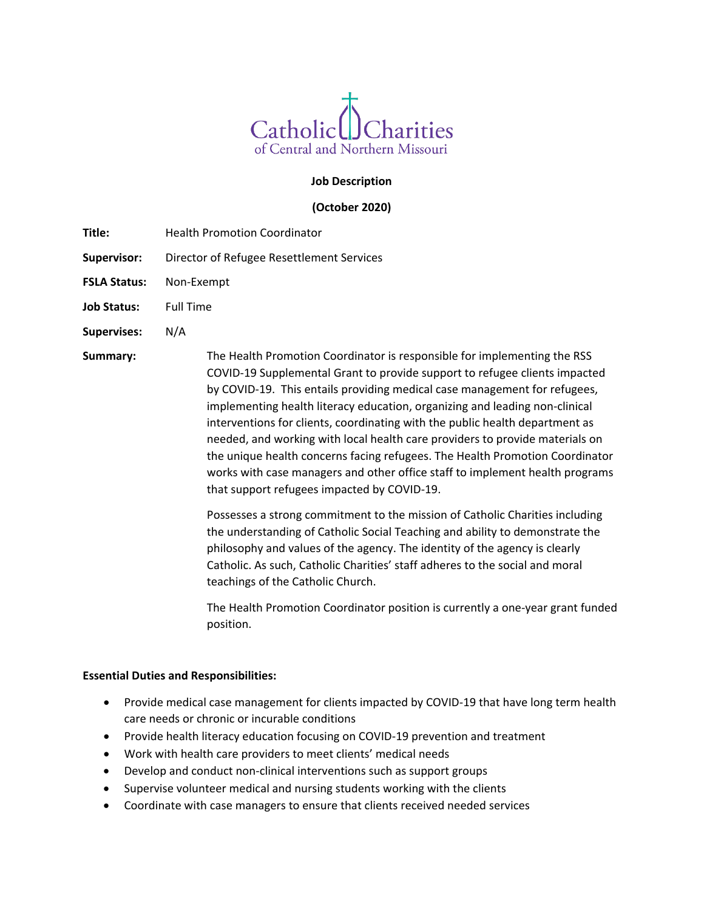

## **Job Description**

### **(October 2020)**

- **Title:** Health Promotion Coordinator
- **Supervisor:** Director of Refugee Resettlement Services
- **FSLA Status:** Non-Exempt
- **Job Status:** Full Time
- **Supervises:** N/A

**Summary:** The Health Promotion Coordinator is responsible for implementing the RSS COVID-19 Supplemental Grant to provide support to refugee clients impacted by COVID-19. This entails providing medical case management for refugees, implementing health literacy education, organizing and leading non-clinical interventions for clients, coordinating with the public health department as needed, and working with local health care providers to provide materials on the unique health concerns facing refugees. The Health Promotion Coordinator works with case managers and other office staff to implement health programs that support refugees impacted by COVID-19.

> Possesses a strong commitment to the mission of Catholic Charities including the understanding of Catholic Social Teaching and ability to demonstrate the philosophy and values of the agency. The identity of the agency is clearly Catholic. As such, Catholic Charities' staff adheres to the social and moral teachings of the Catholic Church.

The Health Promotion Coordinator position is currently a one-year grant funded position.

#### **Essential Duties and Responsibilities:**

- Provide medical case management for clients impacted by COVID-19 that have long term health care needs or chronic or incurable conditions
- Provide health literacy education focusing on COVID-19 prevention and treatment
- Work with health care providers to meet clients' medical needs
- Develop and conduct non-clinical interventions such as support groups
- Supervise volunteer medical and nursing students working with the clients
- Coordinate with case managers to ensure that clients received needed services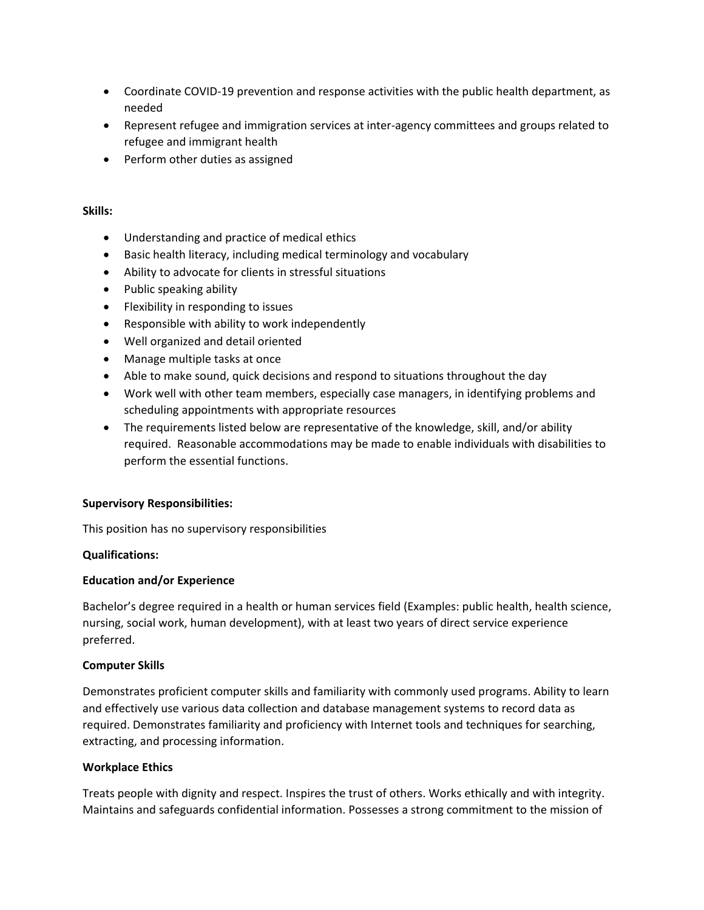- Coordinate COVID-19 prevention and response activities with the public health department, as needed
- Represent refugee and immigration services at inter-agency committees and groups related to refugee and immigrant health
- Perform other duties as assigned

### **Skills:**

- Understanding and practice of medical ethics
- Basic health literacy, including medical terminology and vocabulary
- Ability to advocate for clients in stressful situations
- Public speaking ability
- Flexibility in responding to issues
- Responsible with ability to work independently
- Well organized and detail oriented
- Manage multiple tasks at once
- Able to make sound, quick decisions and respond to situations throughout the day
- Work well with other team members, especially case managers, in identifying problems and scheduling appointments with appropriate resources
- The requirements listed below are representative of the knowledge, skill, and/or ability required. Reasonable accommodations may be made to enable individuals with disabilities to perform the essential functions.

## **Supervisory Responsibilities:**

This position has no supervisory responsibilities

## **Qualifications:**

## **Education and/or Experience**

Bachelor's degree required in a health or human services field (Examples: public health, health science, nursing, social work, human development), with at least two years of direct service experience preferred.

#### **Computer Skills**

Demonstrates proficient computer skills and familiarity with commonly used programs. Ability to learn and effectively use various data collection and database management systems to record data as required. Demonstrates familiarity and proficiency with Internet tools and techniques for searching, extracting, and processing information.

## **Workplace Ethics**

Treats people with dignity and respect. Inspires the trust of others. Works ethically and with integrity. Maintains and safeguards confidential information. Possesses a strong commitment to the mission of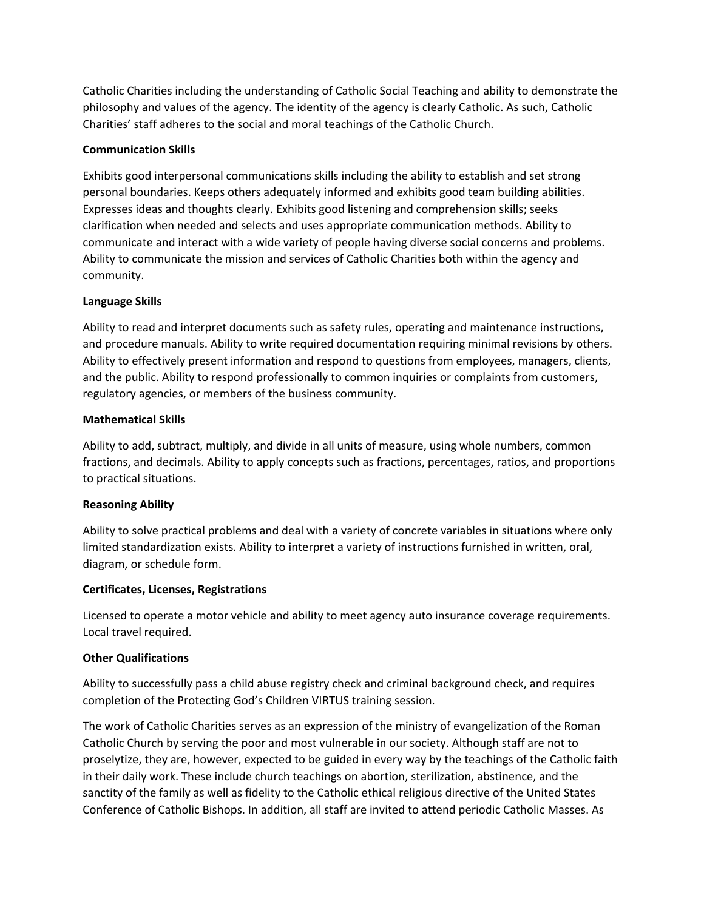Catholic Charities including the understanding of Catholic Social Teaching and ability to demonstrate the philosophy and values of the agency. The identity of the agency is clearly Catholic. As such, Catholic Charities' staff adheres to the social and moral teachings of the Catholic Church.

## **Communication Skills**

Exhibits good interpersonal communications skills including the ability to establish and set strong personal boundaries. Keeps others adequately informed and exhibits good team building abilities. Expresses ideas and thoughts clearly. Exhibits good listening and comprehension skills; seeks clarification when needed and selects and uses appropriate communication methods. Ability to communicate and interact with a wide variety of people having diverse social concerns and problems. Ability to communicate the mission and services of Catholic Charities both within the agency and community.

# **Language Skills**

Ability to read and interpret documents such as safety rules, operating and maintenance instructions, and procedure manuals. Ability to write required documentation requiring minimal revisions by others. Ability to effectively present information and respond to questions from employees, managers, clients, and the public. Ability to respond professionally to common inquiries or complaints from customers, regulatory agencies, or members of the business community.

# **Mathematical Skills**

Ability to add, subtract, multiply, and divide in all units of measure, using whole numbers, common fractions, and decimals. Ability to apply concepts such as fractions, percentages, ratios, and proportions to practical situations.

## **Reasoning Ability**

Ability to solve practical problems and deal with a variety of concrete variables in situations where only limited standardization exists. Ability to interpret a variety of instructions furnished in written, oral, diagram, or schedule form.

## **Certificates, Licenses, Registrations**

Licensed to operate a motor vehicle and ability to meet agency auto insurance coverage requirements. Local travel required.

## **Other Qualifications**

Ability to successfully pass a child abuse registry check and criminal background check, and requires completion of the Protecting God's Children VIRTUS training session.

The work of Catholic Charities serves as an expression of the ministry of evangelization of the Roman Catholic Church by serving the poor and most vulnerable in our society. Although staff are not to proselytize, they are, however, expected to be guided in every way by the teachings of the Catholic faith in their daily work. These include church teachings on abortion, sterilization, abstinence, and the sanctity of the family as well as fidelity to the Catholic ethical religious directive of the United States Conference of Catholic Bishops. In addition, all staff are invited to attend periodic Catholic Masses. As